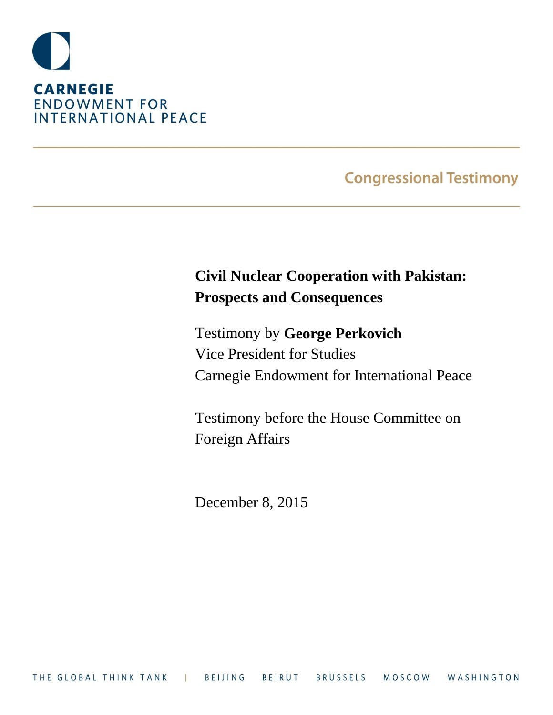

## **Congressional Testimony**

## **Civil Nuclear Cooperation with Pakistan: Prospects and Consequences**

Testimony by **George Perkovich** Vice President for Studies Carnegie Endowment for International Peace

Testimony before the House Committee on Foreign Affairs

December 8, 2015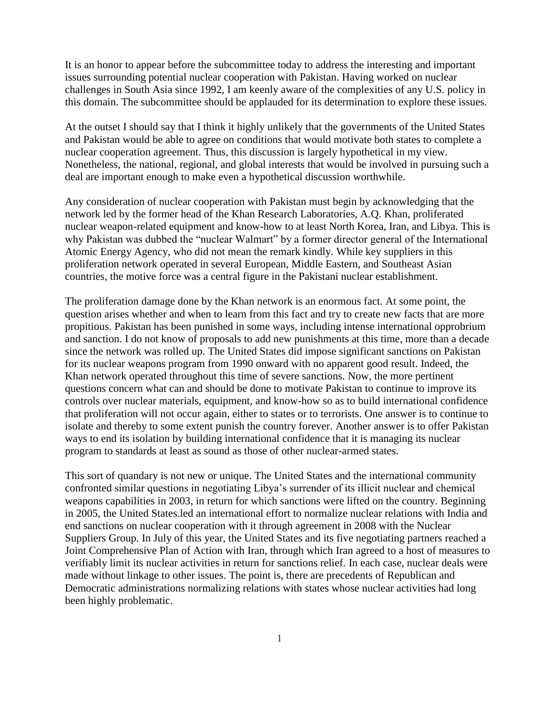It is an honor to appear before the subcommittee today to address the interesting and important issues surrounding potential nuclear cooperation with Pakistan. Having worked on nuclear challenges in South Asia since 1992, I am keenly aware of the complexities of any U.S. policy in this domain. The subcommittee should be applauded for its determination to explore these issues.

At the outset I should say that I think it highly unlikely that the governments of the United States and Pakistan would be able to agree on conditions that would motivate both states to complete a nuclear cooperation agreement. Thus, this discussion is largely hypothetical in my view. Nonetheless, the national, regional, and global interests that would be involved in pursuing such a deal are important enough to make even a hypothetical discussion worthwhile.

Any consideration of nuclear cooperation with Pakistan must begin by acknowledging that the network led by the former head of the Khan Research Laboratories, A.Q. Khan, proliferated nuclear weapon-related equipment and know-how to at least North Korea, Iran, and Libya. This is why Pakistan was dubbed the "nuclear Walmart" by a former director general of the International Atomic Energy Agency, who did not mean the remark kindly. While key suppliers in this proliferation network operated in several European, Middle Eastern, and Southeast Asian countries, the motive force was a central figure in the Pakistani nuclear establishment.

The proliferation damage done by the Khan network is an enormous fact. At some point, the question arises whether and when to learn from this fact and try to create new facts that are more propitious. Pakistan has been punished in some ways, including intense international opprobrium and sanction. I do not know of proposals to add new punishments at this time, more than a decade since the network was rolled up. The United States did impose significant sanctions on Pakistan for its nuclear weapons program from 1990 onward with no apparent good result. Indeed, the Khan network operated throughout this time of severe sanctions. Now, the more pertinent questions concern what can and should be done to motivate Pakistan to continue to improve its controls over nuclear materials, equipment, and know-how so as to build international confidence that proliferation will not occur again, either to states or to terrorists. One answer is to continue to isolate and thereby to some extent punish the country forever. Another answer is to offer Pakistan ways to end its isolation by building international confidence that it is managing its nuclear program to standards at least as sound as those of other nuclear-armed states.

This sort of quandary is not new or unique. The United States and the international community confronted similar questions in negotiating Libya's surrender of its illicit nuclear and chemical weapons capabilities in 2003, in return for which sanctions were lifted on the country. Beginning in 2005, the United States.led an international effort to normalize nuclear relations with India and end sanctions on nuclear cooperation with it through agreement in 2008 with the Nuclear Suppliers Group. In July of this year, the United States and its five negotiating partners reached a Joint Comprehensive Plan of Action with Iran, through which Iran agreed to a host of measures to verifiably limit its nuclear activities in return for sanctions relief. In each case, nuclear deals were made without linkage to other issues. The point is, there are precedents of Republican and Democratic administrations normalizing relations with states whose nuclear activities had long been highly problematic.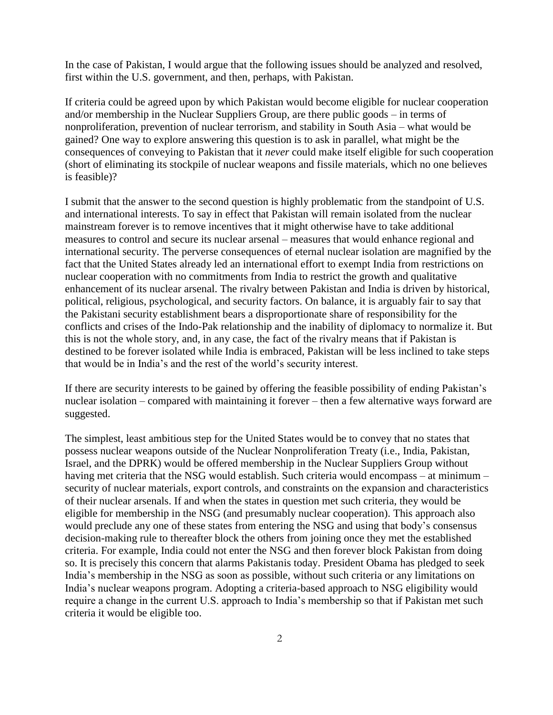In the case of Pakistan, I would argue that the following issues should be analyzed and resolved, first within the U.S. government, and then, perhaps, with Pakistan.

If criteria could be agreed upon by which Pakistan would become eligible for nuclear cooperation and/or membership in the Nuclear Suppliers Group, are there public goods – in terms of nonproliferation, prevention of nuclear terrorism, and stability in South Asia – what would be gained? One way to explore answering this question is to ask in parallel, what might be the consequences of conveying to Pakistan that it *never* could make itself eligible for such cooperation (short of eliminating its stockpile of nuclear weapons and fissile materials, which no one believes is feasible)?

I submit that the answer to the second question is highly problematic from the standpoint of U.S. and international interests. To say in effect that Pakistan will remain isolated from the nuclear mainstream forever is to remove incentives that it might otherwise have to take additional measures to control and secure its nuclear arsenal – measures that would enhance regional and international security. The perverse consequences of eternal nuclear isolation are magnified by the fact that the United States already led an international effort to exempt India from restrictions on nuclear cooperation with no commitments from India to restrict the growth and qualitative enhancement of its nuclear arsenal. The rivalry between Pakistan and India is driven by historical, political, religious, psychological, and security factors. On balance, it is arguably fair to say that the Pakistani security establishment bears a disproportionate share of responsibility for the conflicts and crises of the Indo-Pak relationship and the inability of diplomacy to normalize it. But this is not the whole story, and, in any case, the fact of the rivalry means that if Pakistan is destined to be forever isolated while India is embraced, Pakistan will be less inclined to take steps that would be in India's and the rest of the world's security interest.

If there are security interests to be gained by offering the feasible possibility of ending Pakistan's nuclear isolation – compared with maintaining it forever – then a few alternative ways forward are suggested.

The simplest, least ambitious step for the United States would be to convey that no states that possess nuclear weapons outside of the Nuclear Nonproliferation Treaty (i.e., India, Pakistan, Israel, and the DPRK) would be offered membership in the Nuclear Suppliers Group without having met criteria that the NSG would establish. Such criteria would encompass – at minimum – security of nuclear materials, export controls, and constraints on the expansion and characteristics of their nuclear arsenals. If and when the states in question met such criteria, they would be eligible for membership in the NSG (and presumably nuclear cooperation). This approach also would preclude any one of these states from entering the NSG and using that body's consensus decision-making rule to thereafter block the others from joining once they met the established criteria. For example, India could not enter the NSG and then forever block Pakistan from doing so. It is precisely this concern that alarms Pakistanis today. President Obama has pledged to seek India's membership in the NSG as soon as possible, without such criteria or any limitations on India's nuclear weapons program. Adopting a criteria-based approach to NSG eligibility would require a change in the current U.S. approach to India's membership so that if Pakistan met such criteria it would be eligible too.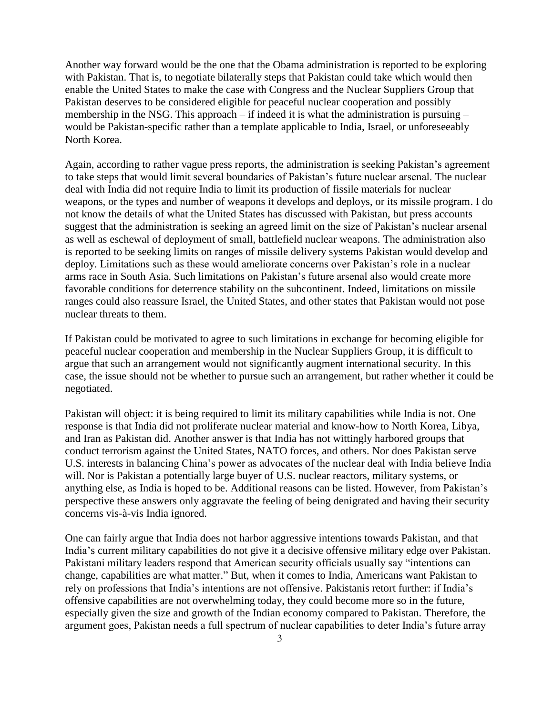Another way forward would be the one that the Obama administration is reported to be exploring with Pakistan. That is, to negotiate bilaterally steps that Pakistan could take which would then enable the United States to make the case with Congress and the Nuclear Suppliers Group that Pakistan deserves to be considered eligible for peaceful nuclear cooperation and possibly membership in the NSG. This approach – if indeed it is what the administration is pursuing – would be Pakistan-specific rather than a template applicable to India, Israel, or unforeseeably North Korea.

Again, according to rather vague press reports, the administration is seeking Pakistan's agreement to take steps that would limit several boundaries of Pakistan's future nuclear arsenal. The nuclear deal with India did not require India to limit its production of fissile materials for nuclear weapons, or the types and number of weapons it develops and deploys, or its missile program. I do not know the details of what the United States has discussed with Pakistan, but press accounts suggest that the administration is seeking an agreed limit on the size of Pakistan's nuclear arsenal as well as eschewal of deployment of small, battlefield nuclear weapons. The administration also is reported to be seeking limits on ranges of missile delivery systems Pakistan would develop and deploy. Limitations such as these would ameliorate concerns over Pakistan's role in a nuclear arms race in South Asia. Such limitations on Pakistan's future arsenal also would create more favorable conditions for deterrence stability on the subcontinent. Indeed, limitations on missile ranges could also reassure Israel, the United States, and other states that Pakistan would not pose nuclear threats to them.

If Pakistan could be motivated to agree to such limitations in exchange for becoming eligible for peaceful nuclear cooperation and membership in the Nuclear Suppliers Group, it is difficult to argue that such an arrangement would not significantly augment international security. In this case, the issue should not be whether to pursue such an arrangement, but rather whether it could be negotiated.

Pakistan will object: it is being required to limit its military capabilities while India is not. One response is that India did not proliferate nuclear material and know-how to North Korea, Libya, and Iran as Pakistan did. Another answer is that India has not wittingly harbored groups that conduct terrorism against the United States, NATO forces, and others. Nor does Pakistan serve U.S. interests in balancing China's power as advocates of the nuclear deal with India believe India will. Nor is Pakistan a potentially large buyer of U.S. nuclear reactors, military systems, or anything else, as India is hoped to be. Additional reasons can be listed. However, from Pakistan's perspective these answers only aggravate the feeling of being denigrated and having their security concerns vis-à-vis India ignored.

One can fairly argue that India does not harbor aggressive intentions towards Pakistan, and that India's current military capabilities do not give it a decisive offensive military edge over Pakistan. Pakistani military leaders respond that American security officials usually say "intentions can change, capabilities are what matter." But, when it comes to India, Americans want Pakistan to rely on professions that India's intentions are not offensive. Pakistanis retort further: if India's offensive capabilities are not overwhelming today, they could become more so in the future, especially given the size and growth of the Indian economy compared to Pakistan. Therefore, the argument goes, Pakistan needs a full spectrum of nuclear capabilities to deter India's future array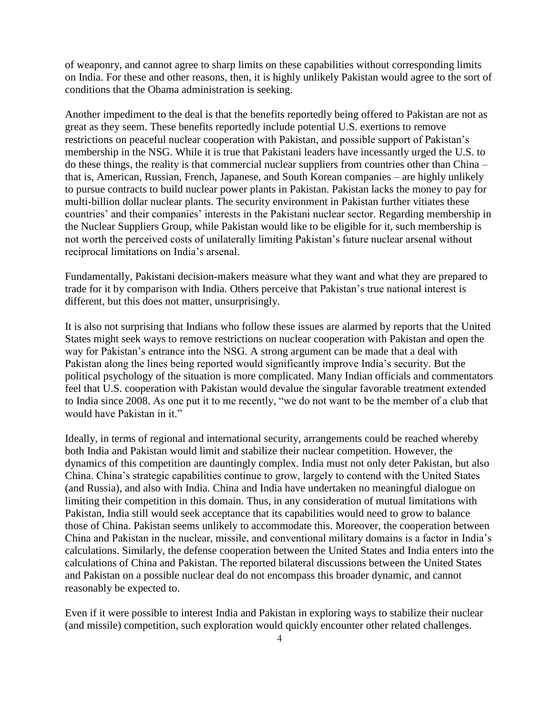of weaponry, and cannot agree to sharp limits on these capabilities without corresponding limits on India. For these and other reasons, then, it is highly unlikely Pakistan would agree to the sort of conditions that the Obama administration is seeking.

Another impediment to the deal is that the benefits reportedly being offered to Pakistan are not as great as they seem. These benefits reportedly include potential U.S. exertions to remove restrictions on peaceful nuclear cooperation with Pakistan, and possible support of Pakistan's membership in the NSG. While it is true that Pakistani leaders have incessantly urged the U.S. to do these things, the reality is that commercial nuclear suppliers from countries other than China – that is, American, Russian, French, Japanese, and South Korean companies – are highly unlikely to pursue contracts to build nuclear power plants in Pakistan. Pakistan lacks the money to pay for multi-billion dollar nuclear plants. The security environment in Pakistan further vitiates these countries' and their companies' interests in the Pakistani nuclear sector. Regarding membership in the Nuclear Suppliers Group, while Pakistan would like to be eligible for it, such membership is not worth the perceived costs of unilaterally limiting Pakistan's future nuclear arsenal without reciprocal limitations on India's arsenal.

Fundamentally, Pakistani decision-makers measure what they want and what they are prepared to trade for it by comparison with India. Others perceive that Pakistan's true national interest is different, but this does not matter, unsurprisingly.

It is also not surprising that Indians who follow these issues are alarmed by reports that the United States might seek ways to remove restrictions on nuclear cooperation with Pakistan and open the way for Pakistan's entrance into the NSG. A strong argument can be made that a deal with Pakistan along the lines being reported would significantly improve India's security. But the political psychology of the situation is more complicated. Many Indian officials and commentators feel that U.S. cooperation with Pakistan would devalue the singular favorable treatment extended to India since 2008. As one put it to me recently, "we do not want to be the member of a club that would have Pakistan in it."

Ideally, in terms of regional and international security, arrangements could be reached whereby both India and Pakistan would limit and stabilize their nuclear competition. However, the dynamics of this competition are dauntingly complex. India must not only deter Pakistan, but also China. China's strategic capabilities continue to grow, largely to contend with the United States (and Russia), and also with India. China and India have undertaken no meaningful dialogue on limiting their competition in this domain. Thus, in any consideration of mutual limitations with Pakistan, India still would seek acceptance that its capabilities would need to grow to balance those of China. Pakistan seems unlikely to accommodate this. Moreover, the cooperation between China and Pakistan in the nuclear, missile, and conventional military domains is a factor in India's calculations. Similarly, the defense cooperation between the United States and India enters into the calculations of China and Pakistan. The reported bilateral discussions between the United States and Pakistan on a possible nuclear deal do not encompass this broader dynamic, and cannot reasonably be expected to.

Even if it were possible to interest India and Pakistan in exploring ways to stabilize their nuclear (and missile) competition, such exploration would quickly encounter other related challenges.